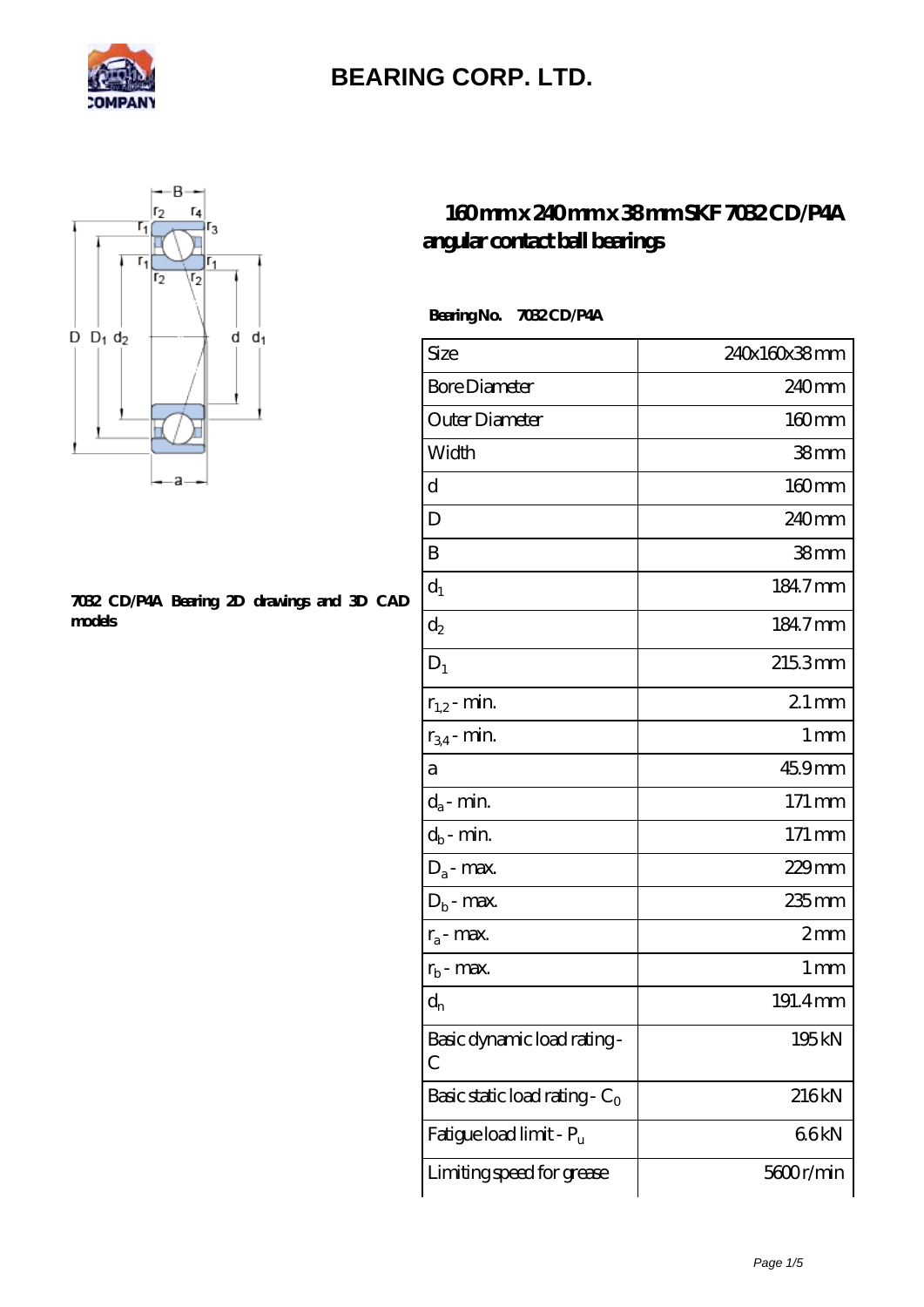



#### **[7032 CD/P4A Bearing 2D drawings and 3D CAD](https://mamzellealacote.com/pic-395773.html) [models](https://mamzellealacote.com/pic-395773.html)**

#### **[160 mm x 240 mm x 38 mm SKF 7032 CD/P4A](https://mamzellealacote.com/bd-395773-skf-7032-cd-p4a-angular-contact-ball-bearings.html) [angular contact ball bearings](https://mamzellealacote.com/bd-395773-skf-7032-cd-p4a-angular-contact-ball-bearings.html)**

 **Bearing No. 7032 CD/P4A**

| Size                             | 240x160x38mm      |
|----------------------------------|-------------------|
| <b>Bore Diameter</b>             | 240 <sub>mm</sub> |
| Outer Diameter                   | $160$ mm          |
| Width                            | 38 <sub>mm</sub>  |
| d                                | $160 \text{mm}$   |
| D                                | 240mm             |
| B                                | 38 <sub>mm</sub>  |
| $d_1$                            | 184.7mm           |
| $d_2$                            | 184.7mm           |
| $D_1$                            | 2153mm            |
| $r_{1,2}$ - min.                 | $21$ mm           |
| $r_{34}$ - min.                  | $1 \,\mathrm{mm}$ |
| а                                | 459mm             |
| $d_a$ - min.                     | 171 mm            |
| $d_b$ - min.                     | 171 mm            |
| $D_a$ - max.                     | $229$ mm          |
| $D_b$ - max.                     | 235mm             |
| $r_a$ - max.                     | 2mm               |
| $r_{b}$ - max.                   | 1 <sub>mm</sub>   |
| $\mathrm{d}_{\mathrm{n}}$        | 191.4mm           |
| Basic dynamic load rating-<br>C  | 195kN             |
| Basic static load rating - $C_0$ | 216kN             |
| Fatigue load limit - Pu          | 66kN              |
| Limiting speed for grease        | 5600r/min         |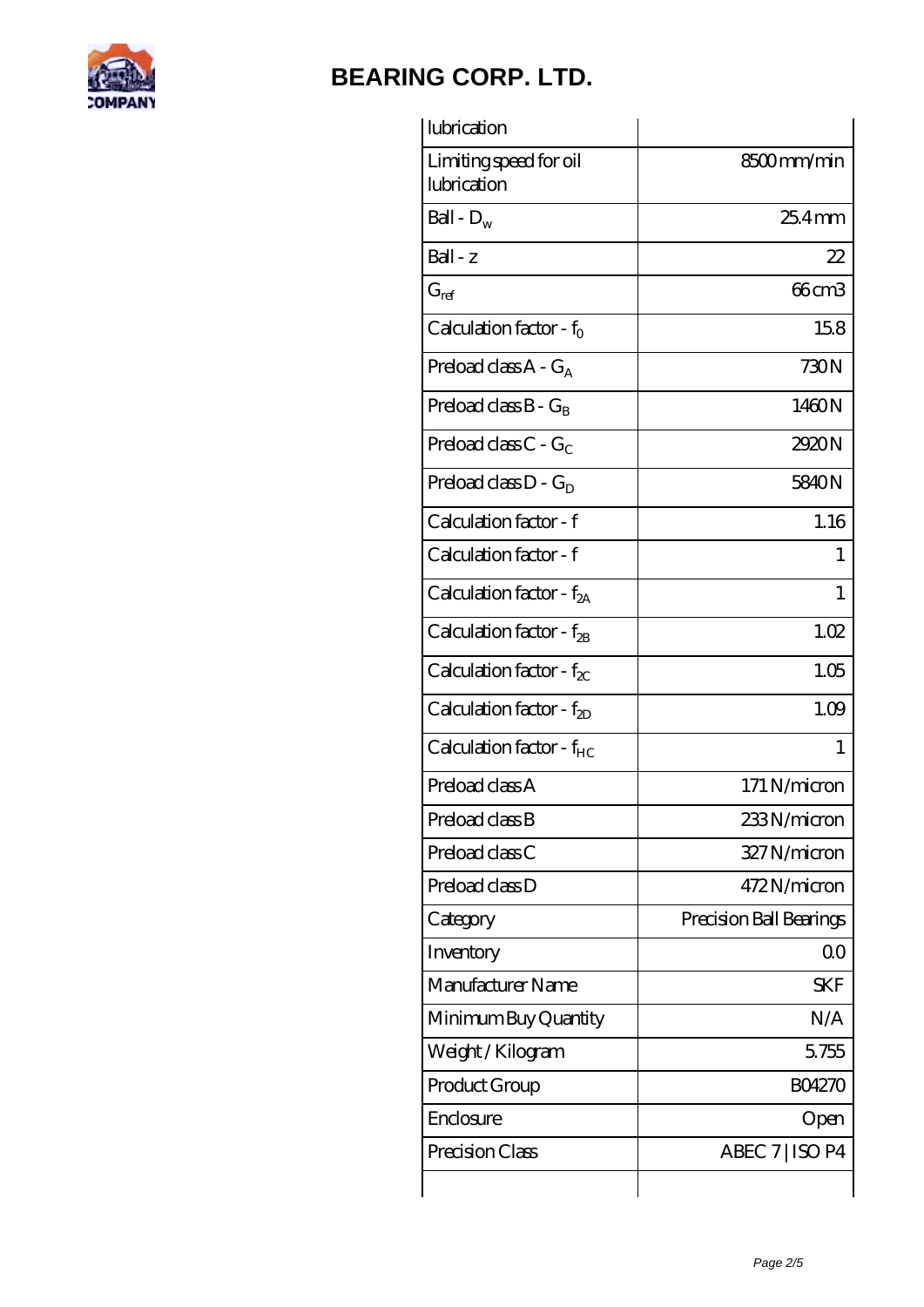

| lubrication                            |                         |
|----------------------------------------|-------------------------|
| Limiting speed for oil<br>lubrication  | 8500mm/min              |
| Ball - $D_w$                           | $254$ mm                |
| Ball - z                               | 22                      |
| $G_{ref}$                              | 66cm3                   |
| Calculation factor - f <sub>0</sub>    | 158                     |
| Preload class $A - G_A$                | 730N                    |
| Preload class $B - G_B$                | 1460N                   |
| Preload class $C - G_C$                | 2920N                   |
| Preload class $D - G_D$                | 5840N                   |
| Calculation factor - f                 | 1.16                    |
| Calculation factor - f                 | L                       |
| Calculation factor - $f_{2A}$          | 1                       |
| Calculation factor - $f_{\mathcal{B}}$ | 1.02                    |
| Calculation factor - $f_{\chi}$        | 1.05                    |
| Calculation factor - $f_{ZD}$          | 1.09                    |
| Calculation factor - f <sub>HC</sub>   | 1                       |
| Preload class A                        | 171 N/micron            |
| Preload class B                        | 233N/micron             |
| Preload class C                        | 327N/micron             |
| Preload class D                        | 472N/micron             |
| Category                               | Precision Ball Bearings |
| Inventory                              | 0 <sub>0</sub>          |
| Manufacturer Name                      | <b>SKF</b>              |
| Minimum Buy Quantity                   | N/A                     |
| Weight / Kilogram                      | 5755                    |
| Product Group                          | <b>BO4270</b>           |
| Enclosure                              | Open                    |
| Precision Class                        | ABEC 7   ISO P4         |
|                                        |                         |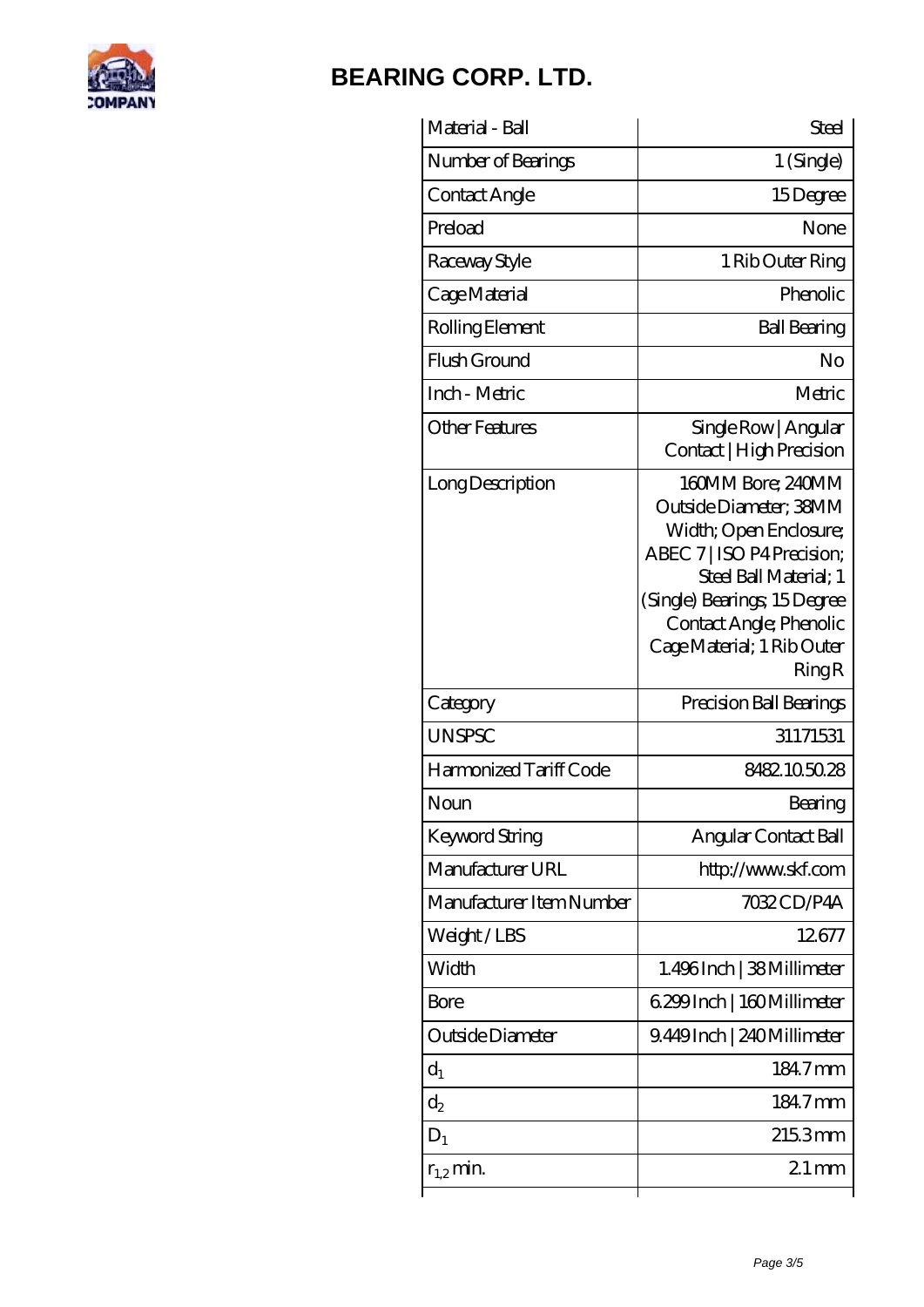

| Material - Ball          | Steel                                                                                                                                                                                                                          |
|--------------------------|--------------------------------------------------------------------------------------------------------------------------------------------------------------------------------------------------------------------------------|
| Number of Bearings       | 1 (Single)                                                                                                                                                                                                                     |
| Contact Angle            | 15Degree                                                                                                                                                                                                                       |
| Preload                  | None                                                                                                                                                                                                                           |
| Raceway Style            | 1 Rib Outer Ring                                                                                                                                                                                                               |
| Cage Material            | Phenolic                                                                                                                                                                                                                       |
| Rolling Element          | <b>Ball Bearing</b>                                                                                                                                                                                                            |
| Flush Ground             | No                                                                                                                                                                                                                             |
| Inch - Metric            | Metric                                                                                                                                                                                                                         |
| <b>Other Features</b>    | Single Row   Angular<br>Contact   High Precision                                                                                                                                                                               |
| Long Description         | 160MM Bore; 240MM<br>Outside Diameter; 38MM<br>Width; Open Enclosure;<br>ABEC 7   ISO P4 Precision;<br>Steel Ball Material; 1<br>(Single) Bearings; 15Degree<br>Contact Angle; Phenolic<br>Cage Material; 1 Rib Outer<br>RingR |
| Category                 | Precision Ball Bearings                                                                                                                                                                                                        |
| <b>UNSPSC</b>            | 31171531                                                                                                                                                                                                                       |
| Harmonized Tariff Code   | 8482105028                                                                                                                                                                                                                     |
| Noun                     | Bearing                                                                                                                                                                                                                        |
| Keyword String           | Angular Contact Ball                                                                                                                                                                                                           |
| Manufacturer URL         | http://www.skf.com                                                                                                                                                                                                             |
| Manufacturer Item Number | 7032CD/P4A                                                                                                                                                                                                                     |
| Weight/LBS               | 12677                                                                                                                                                                                                                          |
| Width                    | 1.496Inch   38Millimeter                                                                                                                                                                                                       |
| Bore                     | 6.299 Inch   160 Millimeter                                                                                                                                                                                                    |
| Outside Diameter         | 9.449Inch   240Millimeter                                                                                                                                                                                                      |
| $d_1$                    | 184.7mm                                                                                                                                                                                                                        |
| $\mathrm{d}_{2}$         | 184.7mm                                                                                                                                                                                                                        |
| $D_1$                    | 2153mm                                                                                                                                                                                                                         |
| $r_{1,2}$ min.           | $21$ mm                                                                                                                                                                                                                        |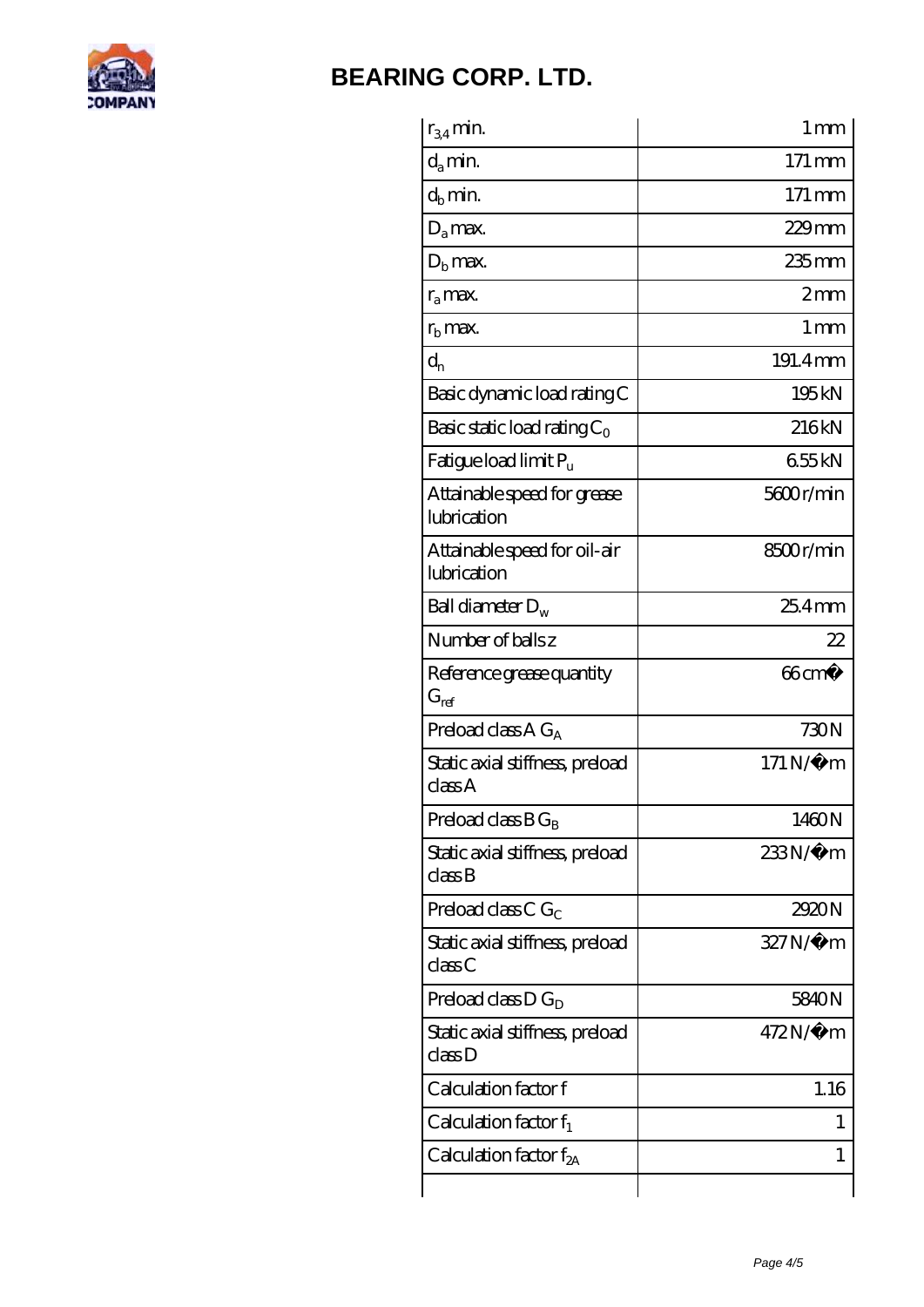

| $r_{34}$ min.                               | 1 <sub>mm</sub>     |
|---------------------------------------------|---------------------|
| $d_a$ min.                                  | $171 \,\mathrm{mm}$ |
| $d_b$ min.                                  | $171 \,\mathrm{mm}$ |
| $D_a$ max.                                  | $229$ mm            |
| $Db$ max.                                   | $235$ mm            |
| $r_{a}$ max.                                | 2mm                 |
| $rb$ max.                                   | 1 <sub>mm</sub>     |
| $d_{n}$                                     | 191.4mm             |
| Basic dynamic load rating C                 | 195kN               |
| Basic static load rating $C_0$              | 216kN               |
| Fatigue load limit Pu                       | 655kN               |
| Attainable speed for grease<br>lubrication  | 5600r/min           |
| Attainable speed for oil-air<br>lubrication | 8500r/min           |
| Ball diameter $D_w$                         | $254$ mm            |
| Number of balls z                           | 22                  |
| Reference grease quantity<br>$G_{ref}$      | $66 \text{cm}^3$    |
| Preload class A $G_A$                       | 730N                |
| Static axial stiffness, preload<br>classA   | $171 N/\mu$ m       |
| Preload class $BG_B$                        | 1460N               |
| Static axial stiffness, preload<br>classB   | 233N/µ m            |
| Preload class C $G_C$                       | 2920N               |
| Static axial stiffness, preload<br>classC   | 327N/µ m            |
| Preload class $D G_D$                       | 5840N               |
| Static axial stiffness, preload<br>class D  | 472N/μ m            |
| Calculation factor f                        | 1.16                |
| Calculation factor $f_1$                    | L                   |
| Calculation factor $f_{2A}$                 | 1                   |
|                                             |                     |